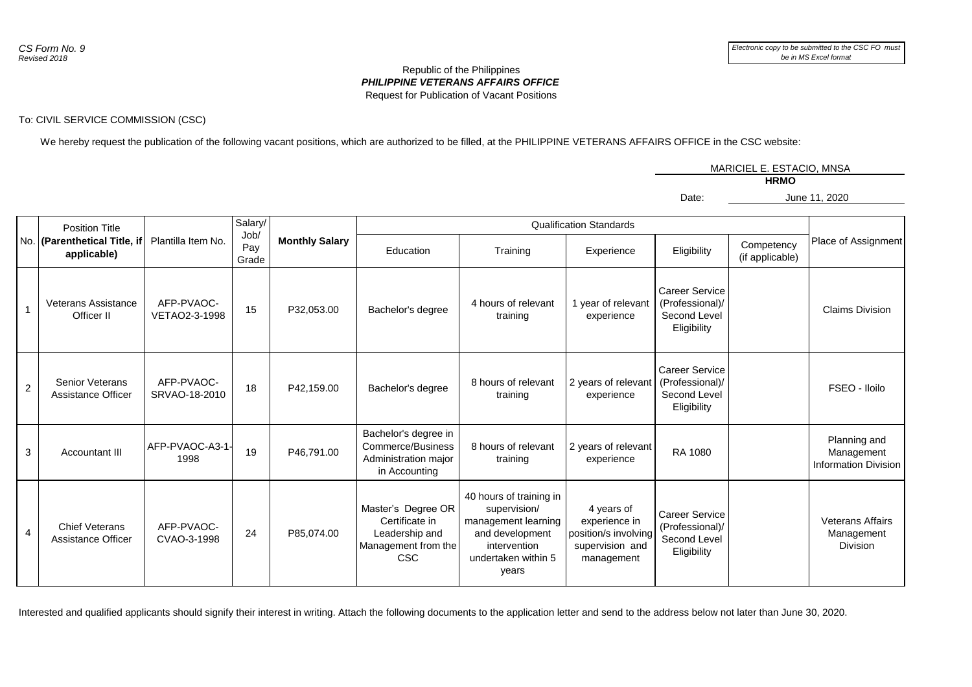## *PHILIPPINE VETERANS AFFAIRS OFFICE* Republic of the Philippines Request for Publication of Vacant Positions

## To: CIVIL SERVICE COMMISSION (CSC)

We hereby request the publication of the following vacant positions, which are authorized to be filled, at the PHILIPPINE VETERANS AFFAIRS OFFICE in the CSC website:

MARICIEL E. ESTACIO, MNSA

Date:

**HRMO**

June 11, 2020

|                | <b>Position Title</b><br>No. (Parenthetical Title, if<br>applicable) | Plantilla Item No.          | Salary/<br>Job/<br>Pay<br>Grade | <b>Monthly Salary</b> | <b>Qualification Standards</b>                                                       |                                                                                                                                   |                                                                                      |                                                                         |                               |                                                           |
|----------------|----------------------------------------------------------------------|-----------------------------|---------------------------------|-----------------------|--------------------------------------------------------------------------------------|-----------------------------------------------------------------------------------------------------------------------------------|--------------------------------------------------------------------------------------|-------------------------------------------------------------------------|-------------------------------|-----------------------------------------------------------|
|                |                                                                      |                             |                                 |                       | Education                                                                            | Training                                                                                                                          | Experience                                                                           | Eligibility                                                             | Competency<br>(if applicable) | Place of Assignment                                       |
|                | <b>Veterans Assistance</b><br>Officer II                             | AFP-PVAOC-<br>VETAO2-3-1998 | 15                              | P32,053.00            | Bachelor's degree                                                                    | 4 hours of relevant<br>training                                                                                                   | 1 year of relevant<br>experience                                                     | <b>Career Service</b><br>(Professional)/<br>Second Level<br>Eligibility |                               | <b>Claims Division</b>                                    |
| $\overline{2}$ | <b>Senior Veterans</b><br><b>Assistance Officer</b>                  | AFP-PVAOC-<br>SRVAO-18-2010 | 18                              | P42.159.00            | Bachelor's degree                                                                    | 8 hours of relevant<br>training                                                                                                   | 2 years of relevant<br>experience                                                    | Career Service<br>(Professional)/<br>Second Level<br>Eligibility        |                               | FSEO - Iloilo                                             |
| 3              | Accountant III                                                       | AFP-PVAOC-A3-1-<br>1998     | 19                              | P46,791.00            | Bachelor's degree in<br>Commerce/Business<br>Administration major<br>in Accounting   | 8 hours of relevant<br>training                                                                                                   | 2 years of relevant<br>experience                                                    | RA 1080                                                                 |                               | Planning and<br>Management<br><b>Information Division</b> |
| 4              | <b>Chief Veterans</b><br>Assistance Officer                          | AFP-PVAOC-<br>CVAO-3-1998   | 24                              | P85.074.00            | Master's Degree OR<br>Certificate in<br>Leadership and<br>Management from the<br>CSC | 40 hours of training in<br>supervision/<br>management learning<br>and development<br>intervention<br>undertaken within 5<br>years | 4 years of<br>experience in<br>position/s involving<br>supervision and<br>management | <b>Career Service</b><br>(Professional)/<br>Second Level<br>Eligibility |                               | <b>Veterans Affairs</b><br>Management<br><b>Division</b>  |

Interested and qualified applicants should signify their interest in writing. Attach the following documents to the application letter and send to the address below not later than June 30, 2020.